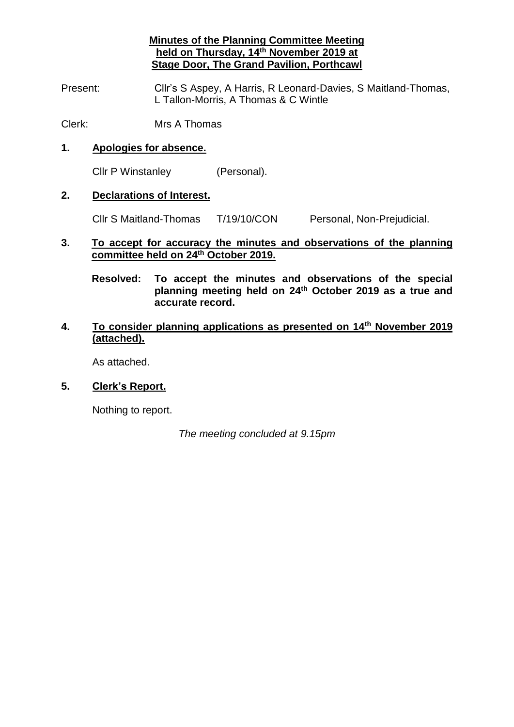**Minutes of the Planning Committee Meeting held on Thursday, 14th November 2019 at Stage Door, The Grand Pavilion, Porthcawl**

Present: Cllr's S Aspey, A Harris, R Leonard-Davies, S Maitland-Thomas, L Tallon-Morris, A Thomas & C Wintle

Clerk: Mrs A Thomas

#### **1. Apologies for absence.**

Cllr P Winstanley (Personal).

#### **2. Declarations of Interest.**

Cllr S Maitland-Thomas T/19/10/CON Personal, Non-Prejudicial.

#### **3. To accept for accuracy the minutes and observations of the planning committee held on 24th October 2019.**

**Resolved: To accept the minutes and observations of the special planning meeting held on 24th October 2019 as a true and accurate record.**

## **4. To consider planning applications as presented on 14th November 2019 (attached).**

As attached.

### **5. Clerk's Report.**

Nothing to report.

*The meeting concluded at 9.15pm*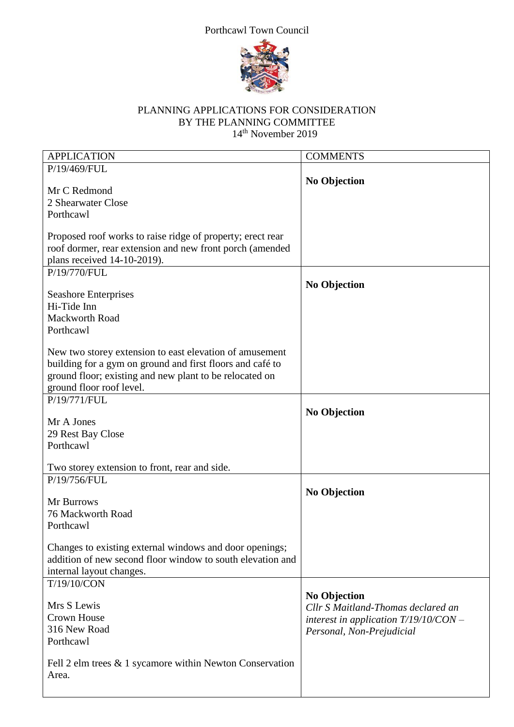# Porthcawl Town Council



## PLANNING APPLICATIONS FOR CONSIDERATION BY THE PLANNING COMMITTEE 14<sup>th</sup> November 2019

| <b>APPLICATION</b>                                          | <b>COMMENTS</b>                         |
|-------------------------------------------------------------|-----------------------------------------|
| P/19/469/FUL                                                |                                         |
|                                                             | <b>No Objection</b>                     |
| Mr C Redmond                                                |                                         |
| 2 Shearwater Close                                          |                                         |
|                                                             |                                         |
| Porthcawl                                                   |                                         |
|                                                             |                                         |
| Proposed roof works to raise ridge of property; erect rear  |                                         |
| roof dormer, rear extension and new front porch (amended    |                                         |
| plans received 14-10-2019).                                 |                                         |
| P/19/770/FUL                                                |                                         |
|                                                             | <b>No Objection</b>                     |
| <b>Seashore Enterprises</b>                                 |                                         |
| Hi-Tide Inn                                                 |                                         |
|                                                             |                                         |
| <b>Mackworth Road</b>                                       |                                         |
| Porthcawl                                                   |                                         |
|                                                             |                                         |
| New two storey extension to east elevation of amusement     |                                         |
| building for a gym on ground and first floors and café to   |                                         |
| ground floor; existing and new plant to be relocated on     |                                         |
| ground floor roof level.                                    |                                         |
| P/19/771/FUL                                                |                                         |
|                                                             |                                         |
| Mr A Jones                                                  | <b>No Objection</b>                     |
|                                                             |                                         |
| 29 Rest Bay Close                                           |                                         |
| Porthcawl                                                   |                                         |
|                                                             |                                         |
| Two storey extension to front, rear and side.               |                                         |
| P/19/756/FUL                                                |                                         |
|                                                             | <b>No Objection</b>                     |
| Mr Burrows                                                  |                                         |
| 76 Mackworth Road                                           |                                         |
| Porthcawl                                                   |                                         |
|                                                             |                                         |
|                                                             |                                         |
| Changes to existing external windows and door openings;     |                                         |
| addition of new second floor window to south elevation and  |                                         |
| internal layout changes.                                    |                                         |
| T/19/10/CON                                                 |                                         |
|                                                             | <b>No Objection</b>                     |
| Mrs S Lewis                                                 | Cllr S Maitland-Thomas declared an      |
| <b>Crown House</b>                                          | interest in application $T/19/10/CON$ - |
| 316 New Road                                                |                                         |
|                                                             | Personal, Non-Prejudicial               |
| Porthcawl                                                   |                                         |
|                                                             |                                         |
| Fell 2 elm trees $\&$ 1 sycamore within Newton Conservation |                                         |
| Area.                                                       |                                         |
|                                                             |                                         |
|                                                             |                                         |